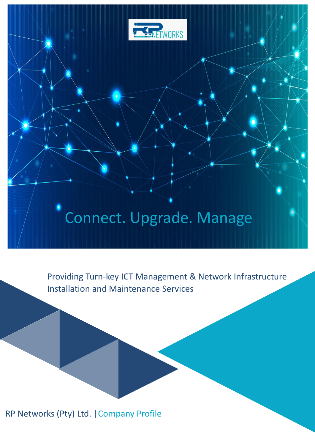

# Connect. Upgrade. Manage

Providing Turn-key ICT Management & Network Infrastructure Installation and Maintenance Services

RP Networks (Pty) Ltd. |Company Profile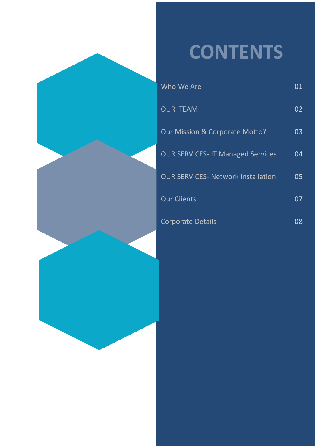# **CONTENTS**

| Who We Are                                | 01 |
|-------------------------------------------|----|
| <b>OUR TEAM</b>                           | 02 |
| Our Mission & Corporate Motto?            | 03 |
| <b>OUR SERVICES- IT Managed Services</b>  | 04 |
| <b>OUR SERVICES- Network Installation</b> | 05 |
| <b>Our Clients</b>                        | 07 |
| <b>Corporate Details</b>                  | 08 |

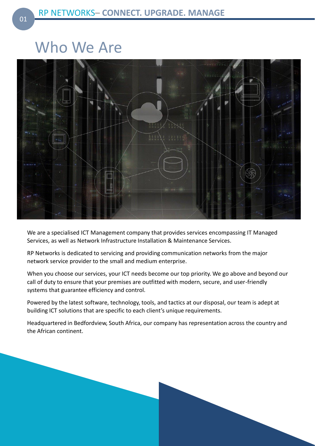### Who We Are



We are a specialised ICT Management company that provides services encompassing IT Managed Services, as well as Network Infrastructure Installation & Maintenance Services.

RP Networks is dedicated to servicing and providing communication networks from the major network service provider to the small and medium enterprise.

When you choose our services, your ICT needs become our top priority. We go above and beyond our call of duty to ensure that your premises are outfitted with modern, secure, and user-friendly systems that guarantee efficiency and control.

Powered by the latest software, technology, tools, and tactics at our disposal, our team is adept at building ICT solutions that are specific to each client's unique requirements.

Headquartered in Bedfordview, South Africa, our company has representation across the country and the African continent.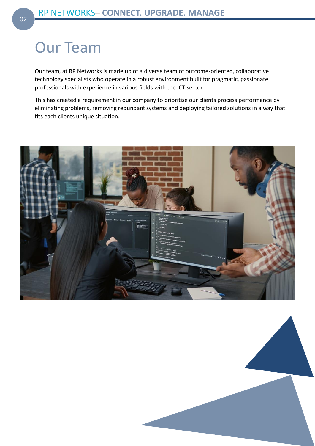### Our Team

Our team, at RP Networks is made up of a diverse team of outcome-oriented, collaborative technology specialists who operate in a robust environment built for pragmatic, passionate professionals with experience in various fields with the ICT sector.

This has created a requirement in our company to prioritise our clients process performance by eliminating problems, removing redundant systems and deploying tailored solutions in a way that fits each clients unique situation.



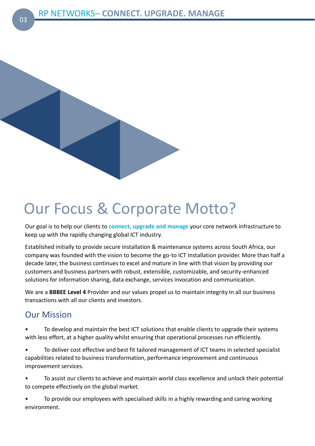

### Our Focus & Corporate Motto?

Our goal is to help our clients to **connect, upgrade and manage** your core network infrastructure to keep up with the rapidly changing global ICT industry.

Established initially to provide secure installation & maintenance systems across South Africa, our company was founded with the vision to become the go-to ICT Installation provider. More than half a decade later, the business continues to excel and mature in line with that vision by providing our customers and business partners with robust, extensible, customizable, and security-enhanced solutions for information sharing, data exchange, services invocation and communication.

We are a **BBBEE Level 4** Provider and our values propel us to maintain integrity In all our business transactions with all our clients and investors.

### Our Mission

• To develop and maintain the best ICT solutions that enable clients to upgrade their systems with less effort, at a higher quality whilst ensuring that operational processes run efficiently.

• To deliver cost effective and best fit tailored management of ICT teams in selected specialist capabilities related to business transformation, performance improvement and continuous improvement services.

• To assist our clients to achieve and maintain world class excellence and unlock their potential to compete effectively on the global market.

• To provide our employees with specialised skills in a highly rewarding and caring working environment.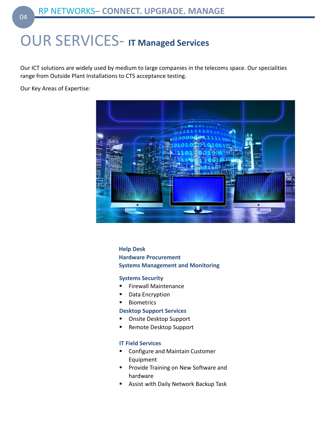### OUR SERVICES- **IT Managed Services**

Our ICT solutions are widely used by medium to large companies in the telecoms space. Our specialities range from Outside Plant Installations to CTS acceptance testing.

Our Key Areas of Expertise:



**Help Desk Hardware Procurement Systems Management and Monitoring**

#### **Systems Security**

- **Firewall Maintenance**
- Data Encryption
- Biometrics

#### **Desktop Support Services**

- Onsite Desktop Support
- Remote Desktop Support

#### **IT Field Services**

- Configure and Maintain Customer Equipment
- Provide Training on New Software and hardware
- Assist with Daily Network Backup Task

04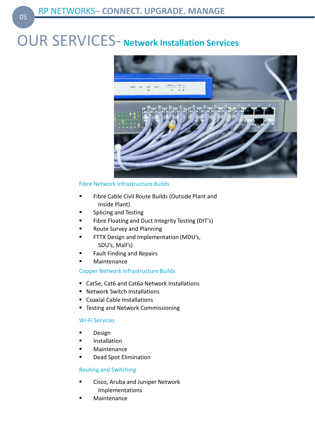### OUR SERVICES- **Network Installation Services**



#### Fibre Network Infrastructure Builds

- Fibre Cable Civil Route Builds (Outside Plant and Inside Plant)
- Splicing and Testing
- **E** Fibre Floating and Duct Integrity Testing (DIT's)
- Route Survey and Planning
- **■** FTTX Design and Implementation (MDU's, SDU's, Mall's)
- Fault Finding and Repairs
- Maintenance

#### Copper Network Infrastructure Builds

- Cat5e, Cat6 and Cat6a Network Installations
- Network Switch Installations
- Coaxial Cable Installations
- **E** Testing and Network Commissioning

#### Wi-Fi Services

- **Design**
- **Installation**
- **Maintenance**
- Dead Spot Elimination

#### Routing and Switching

- Cisco, Aruba and Juniper Network Implementations
- **Maintenance**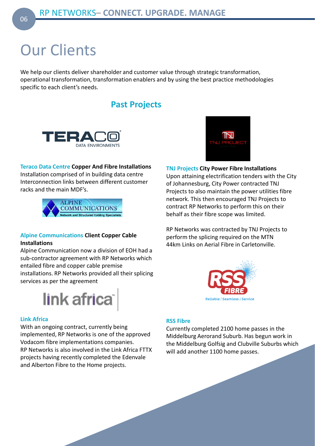## Our Clients

We help our clients deliver shareholder and customer value through strategic transformation, operational transformation, transformation enablers and by using the best practice methodologies specific to each client's needs.

### **Past Projects**



#### **Teraco Data Centre Copper And Fibre Installations**

Installation comprised of in building data centre Interconnection links between different customer racks and the main MDF's.



#### **Alpine Communications Client Copper Cable Installations**

Alpine Communication now a division of EOH had a sub-contractor agreement with RP Networks which entailed fibre and copper cable premise installations. RP Networks provided all their splicing services as per the agreement



#### **Link Africa**

With an ongoing contract, currently being implemented, RP Networks is one of the approved Vodacom fibre implementations companies. RP Networks is also involved in the Link Africa FTTX projects having recently completed the Edenvale and Alberton Fibre to the Home projects.



**TNJ Projects City Power Fibre Installations** Upon attaining electrification tenders with the City of Johannesburg, City Power contracted TNJ Projects to also maintain the power utilities fibre network. This then encouraged TNJ Projects to contract RP Networks to perform this on their behalf as their fibre scope was limited.

RP Networks was contracted by TNJ Projects to perform the splicing required on the MTN 44km Links on Aerial Fibre in Carletonville.



#### **RSS Fibre**

Currently completed 2100 home passes in the Middelburg Aerorand Suburb. Has begun work in the Middelburg Golfsig and Clubville Suburbs which will add another 1100 home passes.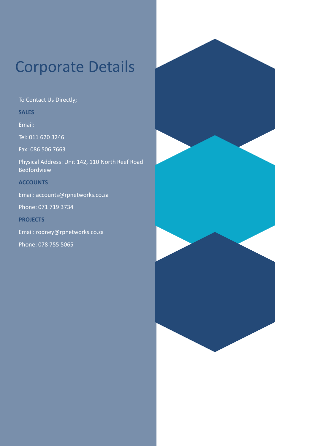### Corporate Details

To Contact Us Directly;

**SALES**

Email:

Tel: 011 620 3246

Fax: 086 506 7663

Physical Address: Unit 142, 110 North Reef Road Bedfordview

#### **ACCOUNTS**

Email: accounts@rpnetworks.co.za

Phone: 071 719 3734

**PROJECTS**

Email: rodney@rpnetworks.co.za

Phone: 078 755 5065